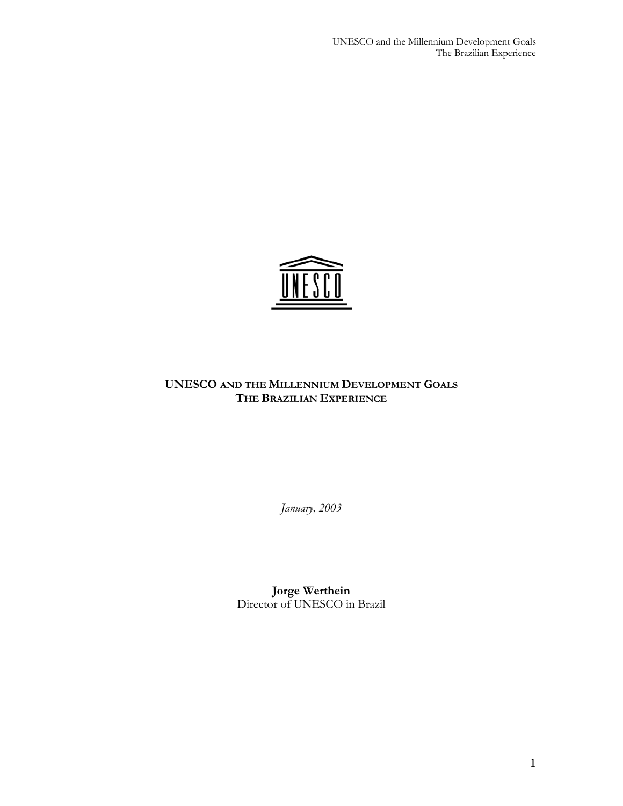UNESCO and the Millennium Development Goals The Brazilian Experience



## **UNESCO AND THE MILLENNIUM DEVELOPMENT GOALS THE BRAZILIAN EXPERIENCE**

*January, 2003* 

**Jorge Werthein**  Director of UNESCO in Brazil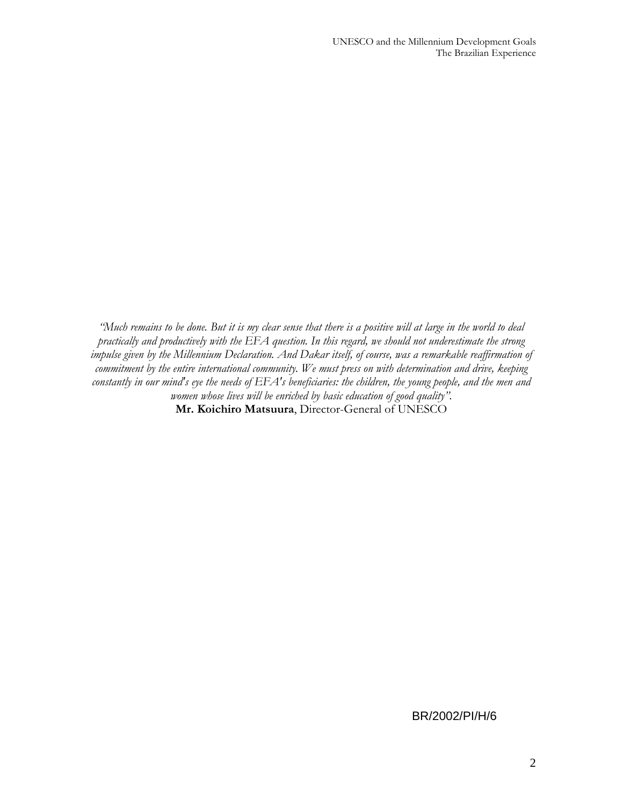*"Much remains to be done. But it is my clear sense that there is a positive will at large in the world to deal practically and productively with the EFA question. In this regard, we should not underestimate the strong impulse given by the Millennium Declaration. And Dakar itself, of course, was a remarkable reaffirmation of commitment by the entire international community. We must press on with determination and drive, keeping constantly in our mind's eye the needs of EFA's beneficiaries: the children, the young people, and the men and women whose lives will be enriched by basic education of good quality".*  **Mr. Koichiro Matsuura**, Director-General of UNESCO

## BR/2002/PI/H/6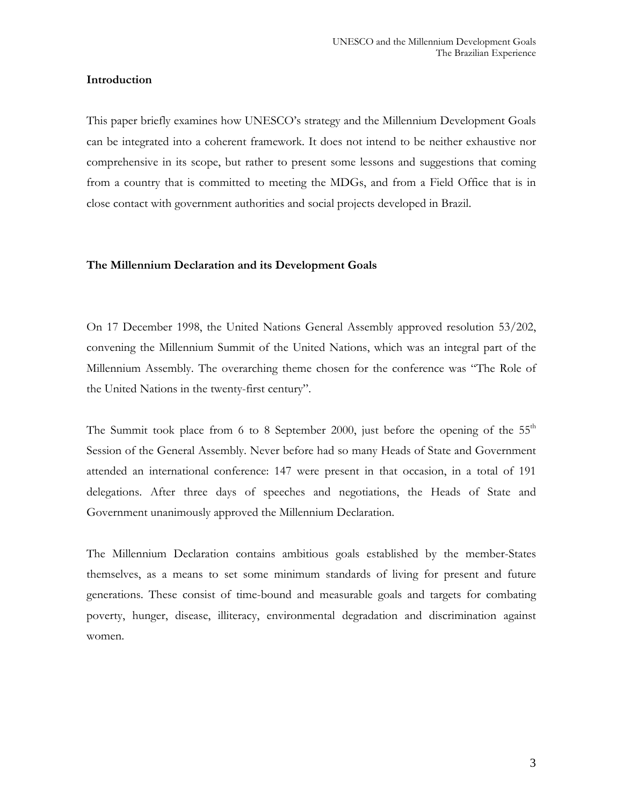#### **Introduction**

This paper briefly examines how UNESCO's strategy and the Millennium Development Goals can be integrated into a coherent framework. It does not intend to be neither exhaustive nor comprehensive in its scope, but rather to present some lessons and suggestions that coming from a country that is committed to meeting the MDGs, and from a Field Office that is in close contact with government authorities and social projects developed in Brazil.

#### **The Millennium Declaration and its Development Goals**

On 17 December 1998, the United Nations General Assembly approved resolution 53/202, convening the Millennium Summit of the United Nations, which was an integral part of the Millennium Assembly. The overarching theme chosen for the conference was "The Role of the United Nations in the twenty-first century".

The Summit took place from 6 to 8 September 2000, just before the opening of the  $55<sup>th</sup>$ Session of the General Assembly. Never before had so many Heads of State and Government attended an international conference: 147 were present in that occasion, in a total of 191 delegations. After three days of speeches and negotiations, the Heads of State and Government unanimously approved the Millennium Declaration.

The Millennium Declaration contains ambitious goals established by the member-States themselves, as a means to set some minimum standards of living for present and future generations. These consist of time-bound and measurable goals and targets for combating poverty, hunger, disease, illiteracy, environmental degradation and discrimination against women.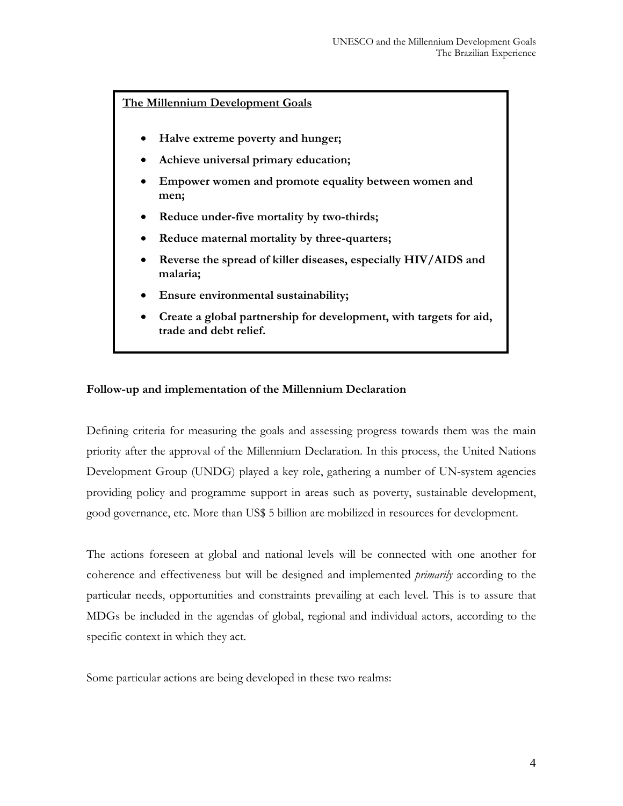**The Millennium Development Goals**

- **Halve extreme poverty and hunger;**
- **Achieve universal primary education;**
- **Empower women and promote equality between women and men;**
- **Reduce under-five mortality by two-thirds;**
- **Reduce maternal mortality by three-quarters;**
- **Reverse the spread of killer diseases, especially HIV/AIDS and malaria;**
- **Ensure environmental sustainability;**
- **Create a global partnership for development, with targets for aid, trade and debt relief.**

## **Follow-up and implementation of the Millennium Declaration**

Defining criteria for measuring the goals and assessing progress towards them was the main priority after the approval of the Millennium Declaration. In this process, the United Nations Development Group (UNDG) played a key role, gathering a number of UN-system agencies providing policy and programme support in areas such as poverty, sustainable development, good governance, etc. More than US\$ 5 billion are mobilized in resources for development.

The actions foreseen at global and national levels will be connected with one another for coherence and effectiveness but will be designed and implemented *primarily* according to the particular needs, opportunities and constraints prevailing at each level. This is to assure that MDGs be included in the agendas of global, regional and individual actors, according to the specific context in which they act.

Some particular actions are being developed in these two realms: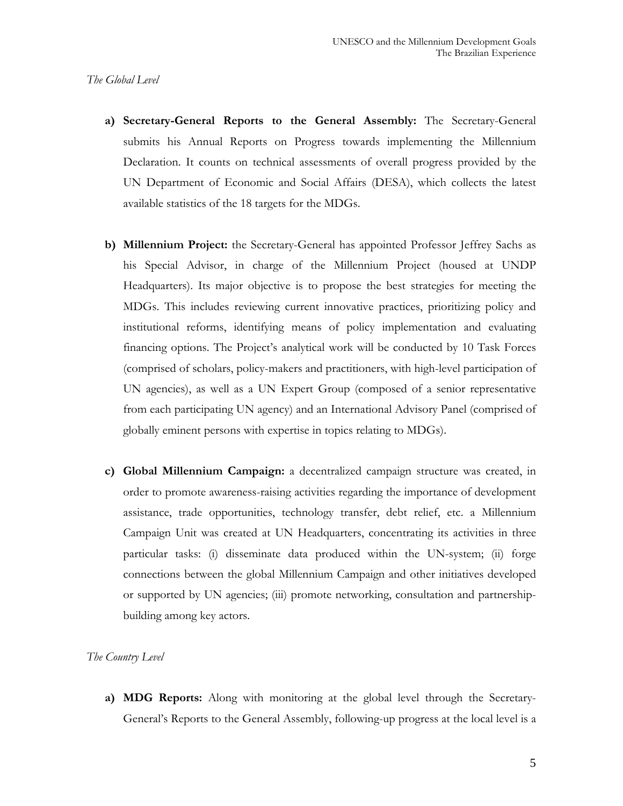#### *The Global Level*

- **a) Secretary-General Reports to the General Assembly:** The Secretary-General submits his Annual Reports on Progress towards implementing the Millennium Declaration. It counts on technical assessments of overall progress provided by the UN Department of Economic and Social Affairs (DESA), which collects the latest available statistics of the 18 targets for the MDGs.
- **b) Millennium Project:** the Secretary-General has appointed Professor Jeffrey Sachs as his Special Advisor, in charge of the Millennium Project (housed at UNDP Headquarters). Its major objective is to propose the best strategies for meeting the MDGs. This includes reviewing current innovative practices, prioritizing policy and institutional reforms, identifying means of policy implementation and evaluating financing options. The Project's analytical work will be conducted by 10 Task Forces (comprised of scholars, policy-makers and practitioners, with high-level participation of UN agencies), as well as a UN Expert Group (composed of a senior representative from each participating UN agency) and an International Advisory Panel (comprised of globally eminent persons with expertise in topics relating to MDGs).
- **c) Global Millennium Campaign:** a decentralized campaign structure was created, in order to promote awareness-raising activities regarding the importance of development assistance, trade opportunities, technology transfer, debt relief, etc. a Millennium Campaign Unit was created at UN Headquarters, concentrating its activities in three particular tasks: (i) disseminate data produced within the UN-system; (ii) forge connections between the global Millennium Campaign and other initiatives developed or supported by UN agencies; (iii) promote networking, consultation and partnershipbuilding among key actors.

#### *The Country Level*

**a) MDG Reports:** Along with monitoring at the global level through the Secretary-General's Reports to the General Assembly, following-up progress at the local level is a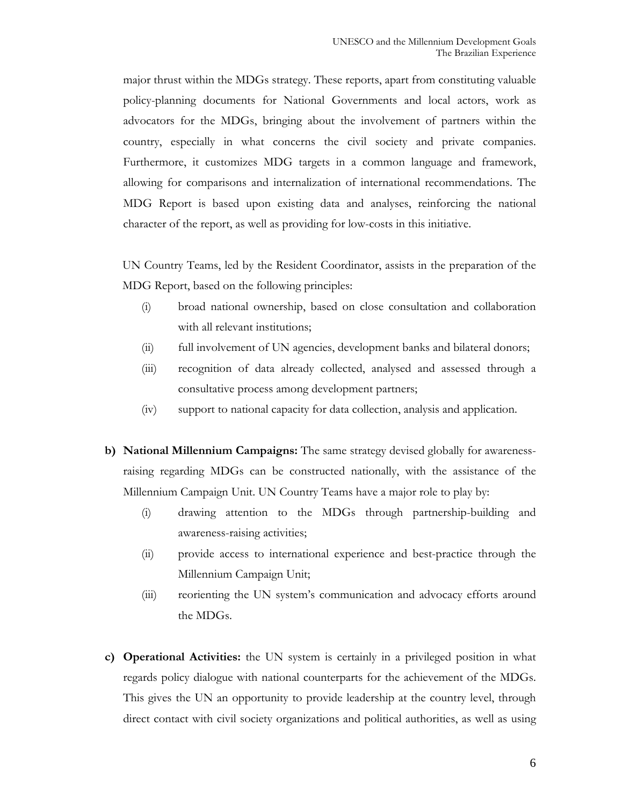major thrust within the MDGs strategy. These reports, apart from constituting valuable policy-planning documents for National Governments and local actors, work as advocators for the MDGs, bringing about the involvement of partners within the country, especially in what concerns the civil society and private companies. Furthermore, it customizes MDG targets in a common language and framework, allowing for comparisons and internalization of international recommendations. The MDG Report is based upon existing data and analyses, reinforcing the national character of the report, as well as providing for low-costs in this initiative.

UN Country Teams, led by the Resident Coordinator, assists in the preparation of the MDG Report, based on the following principles:

- (i) broad national ownership, based on close consultation and collaboration with all relevant institutions;
- (ii) full involvement of UN agencies, development banks and bilateral donors;
- (iii) recognition of data already collected, analysed and assessed through a consultative process among development partners;
- (iv) support to national capacity for data collection, analysis and application.
- **b) National Millennium Campaigns:** The same strategy devised globally for awarenessraising regarding MDGs can be constructed nationally, with the assistance of the Millennium Campaign Unit. UN Country Teams have a major role to play by:
	- (i) drawing attention to the MDGs through partnership-building and awareness-raising activities;
	- (ii) provide access to international experience and best-practice through the Millennium Campaign Unit;
	- (iii) reorienting the UN system's communication and advocacy efforts around the MDGs.
- **c) Operational Activities:** the UN system is certainly in a privileged position in what regards policy dialogue with national counterparts for the achievement of the MDGs. This gives the UN an opportunity to provide leadership at the country level, through direct contact with civil society organizations and political authorities, as well as using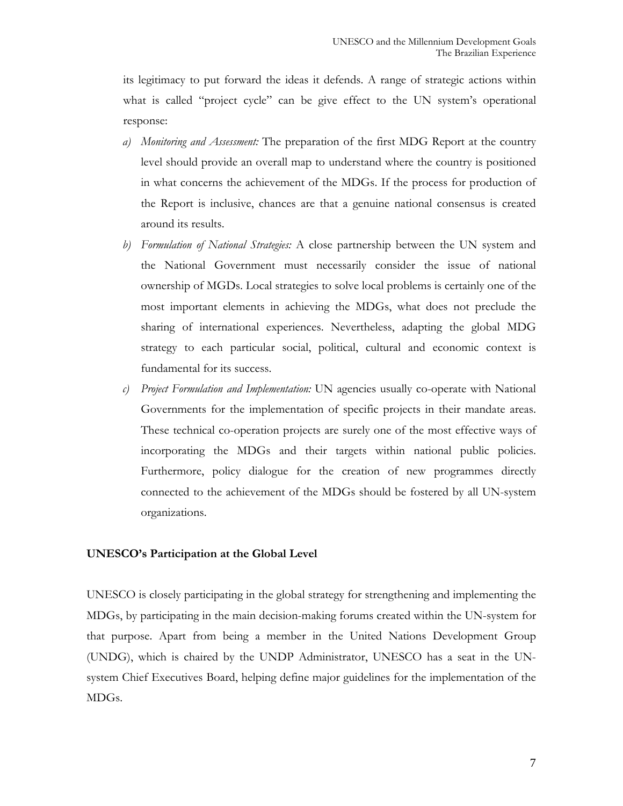its legitimacy to put forward the ideas it defends. A range of strategic actions within what is called "project cycle" can be give effect to the UN system's operational response:

- *a) Monitoring and Assessment:* The preparation of the first MDG Report at the country level should provide an overall map to understand where the country is positioned in what concerns the achievement of the MDGs. If the process for production of the Report is inclusive, chances are that a genuine national consensus is created around its results.
- *b) Formulation of National Strategies:* A close partnership between the UN system and the National Government must necessarily consider the issue of national ownership of MGDs. Local strategies to solve local problems is certainly one of the most important elements in achieving the MDGs, what does not preclude the sharing of international experiences. Nevertheless, adapting the global MDG strategy to each particular social, political, cultural and economic context is fundamental for its success.
- *c) Project Formulation and Implementation:* UN agencies usually co-operate with National Governments for the implementation of specific projects in their mandate areas. These technical co-operation projects are surely one of the most effective ways of incorporating the MDGs and their targets within national public policies. Furthermore, policy dialogue for the creation of new programmes directly connected to the achievement of the MDGs should be fostered by all UN-system organizations.

## **UNESCO's Participation at the Global Level**

UNESCO is closely participating in the global strategy for strengthening and implementing the MDGs, by participating in the main decision-making forums created within the UN-system for that purpose. Apart from being a member in the United Nations Development Group (UNDG), which is chaired by the UNDP Administrator, UNESCO has a seat in the UNsystem Chief Executives Board, helping define major guidelines for the implementation of the MDGs.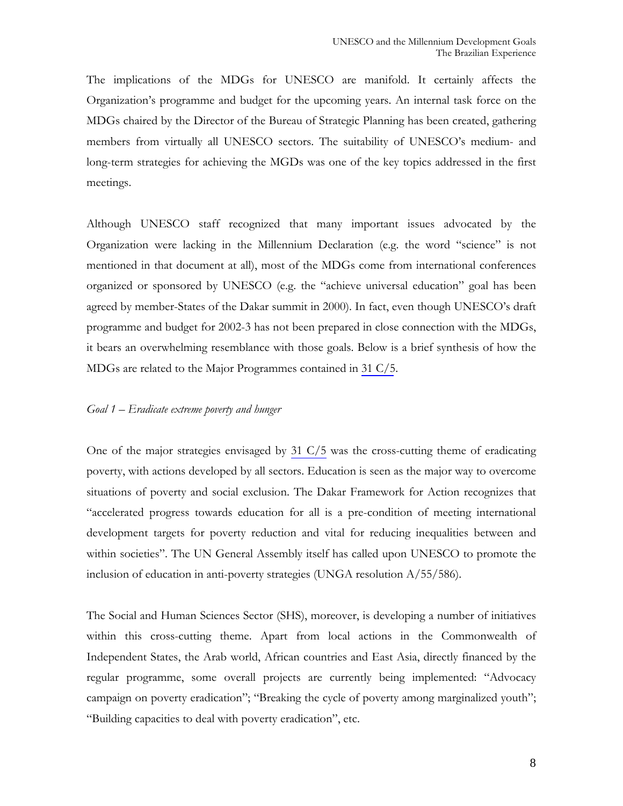The implications of the MDGs for UNESCO are manifold. It certainly affects the Organization's programme and budget for the upcoming years. An internal task force on the MDGs chaired by the Director of the Bureau of Strategic Planning has been created, gathering members from virtually all UNESCO sectors. The suitability of UNESCO's medium- and long-term strategies for achieving the MGDs was one of the key topics addressed in the first meetings.

Although UNESCO staff recognized that many important issues advocated by the Organization were lacking in the Millennium Declaration (e.g. the word "science" is not mentioned in that document at all), most of the MDGs come from international conferences organized or sponsored by UNESCO (e.g. the "achieve universal education" goal has been agreed by member-States of the Dakar summit in 2000). In fact, even though UNESCO's draft programme and budget for 2002-3 has not been prepared in close connection with the MDGs, it bears an overwhelming resemblance with those goals. Below is a brief synthesis of how the MDGs are related to the Major Programmes contained in 31 C/5.

#### *Goal 1 – Eradicate extreme poverty and hunger*

One of the major strategies envisaged by 31 C/5 was the cross-cutting theme of eradicating poverty, with actions developed by all sectors. Education is seen as the major way to overcome situations of poverty and social exclusion. The Dakar Framework for Action recognizes that "accelerated progress towards education for all is a pre-condition of meeting international development targets for poverty reduction and vital for reducing inequalities between and within societies". The UN General Assembly itself has called upon UNESCO to promote the inclusion of education in anti-poverty strategies (UNGA resolution A/55/586).

The Social and Human Sciences Sector (SHS), moreover, is developing a number of initiatives within this cross-cutting theme. Apart from local actions in the Commonwealth of Independent States, the Arab world, African countries and East Asia, directly financed by the regular programme, some overall projects are currently being implemented: "Advocacy campaign on poverty eradication"; "Breaking the cycle of poverty among marginalized youth"; "Building capacities to deal with poverty eradication", etc.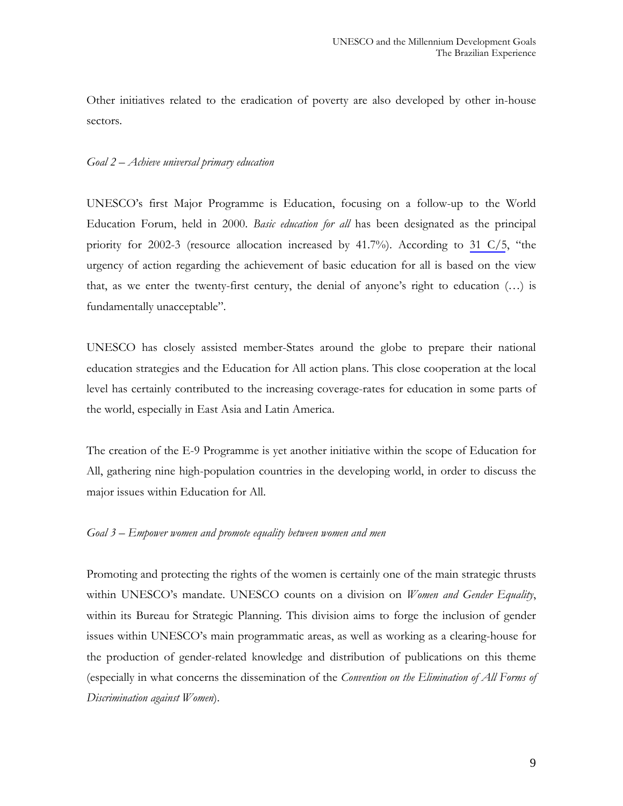Other initiatives related to the eradication of poverty are also developed by other in-house sectors.

## *Goal 2 – Achieve universal primary education*

UNESCO's first Major Programme is Education, focusing on a follow-up to the World Education Forum, held in 2000. *Basic education for all* has been designated as the principal priority for 2002-3 (resource allocation increased by 41.7%). According to 31 C/5, "the urgency of action regarding the achievement of basic education for all is based on the view that, as we enter the twenty-first century, the denial of anyone's right to education  $(...)$  is fundamentally unacceptable".

UNESCO has closely assisted member-States around the globe to prepare their national education strategies and the Education for All action plans. This close cooperation at the local level has certainly contributed to the increasing coverage-rates for education in some parts of the world, especially in East Asia and Latin America.

The creation of the E-9 Programme is yet another initiative within the scope of Education for All, gathering nine high-population countries in the developing world, in order to discuss the major issues within Education for All.

## *Goal 3 – Empower women and promote equality between women and men*

Promoting and protecting the rights of the women is certainly one of the main strategic thrusts within UNESCO's mandate. UNESCO counts on a division on *Women and Gender Equality*, within its Bureau for Strategic Planning. This division aims to forge the inclusion of gender issues within UNESCO's main programmatic areas, as well as working as a clearing-house for the production of gender-related knowledge and distribution of publications on this theme (especially in what concerns the dissemination of the *Convention on the Elimination of All Forms of Discrimination against Women*).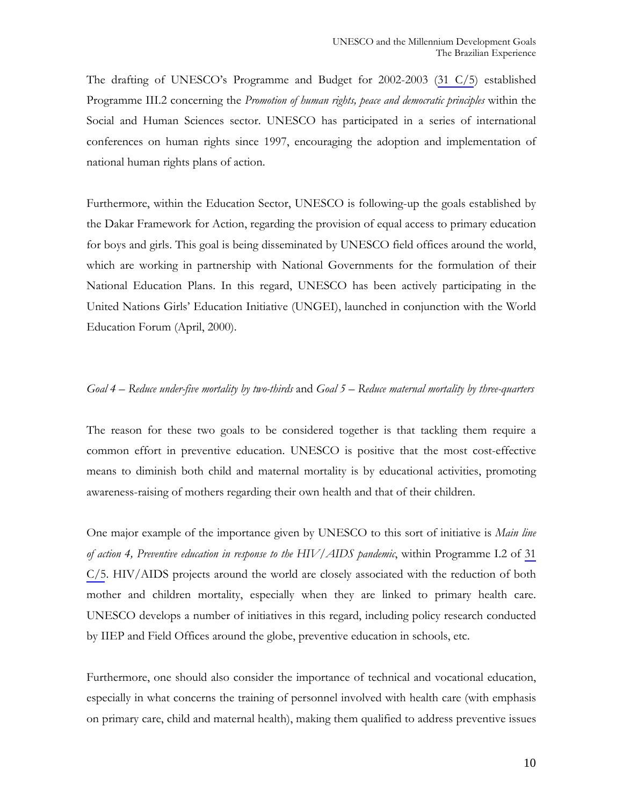The drafting of UNESCO's Programme and Budget for 2002-2003 (31 C/5) established Programme III.2 concerning the *Promotion of human rights, peace and democratic principles* within the Social and Human Sciences sector. UNESCO has participated in a series of international conferences on human rights since 1997, encouraging the adoption and implementation of national human rights plans of action.

Furthermore, within the Education Sector, UNESCO is following-up the goals established by the Dakar Framework for Action, regarding the provision of equal access to primary education for boys and girls. This goal is being disseminated by UNESCO field offices around the world, which are working in partnership with National Governments for the formulation of their National Education Plans. In this regard, UNESCO has been actively participating in the United Nations Girls' Education Initiative (UNGEI), launched in conjunction with the World Education Forum (April, 2000).

## *Goal 4 – Reduce under-five mortality by two-thirds* and *Goal 5 – Reduce maternal mortality by three-quarters*

The reason for these two goals to be considered together is that tackling them require a common effort in preventive education. UNESCO is positive that the most cost-effective means to diminish both child and maternal mortality is by educational activities, promoting awareness-raising of mothers regarding their own health and that of their children.

One major example of the importance given by UNESCO to this sort of initiative is *Main line of action 4, Preventive education in response to the HIV/AIDS pandemic*, within Programme I.2 of 31 C/5. HIV/AIDS projects around the world are closely associated with the reduction of both mother and children mortality, especially when they are linked to primary health care. UNESCO develops a number of initiatives in this regard, including policy research conducted by IIEP and Field Offices around the globe, preventive education in schools, etc.

Furthermore, one should also consider the importance of technical and vocational education, especially in what concerns the training of personnel involved with health care (with emphasis on primary care, child and maternal health), making them qualified to address preventive issues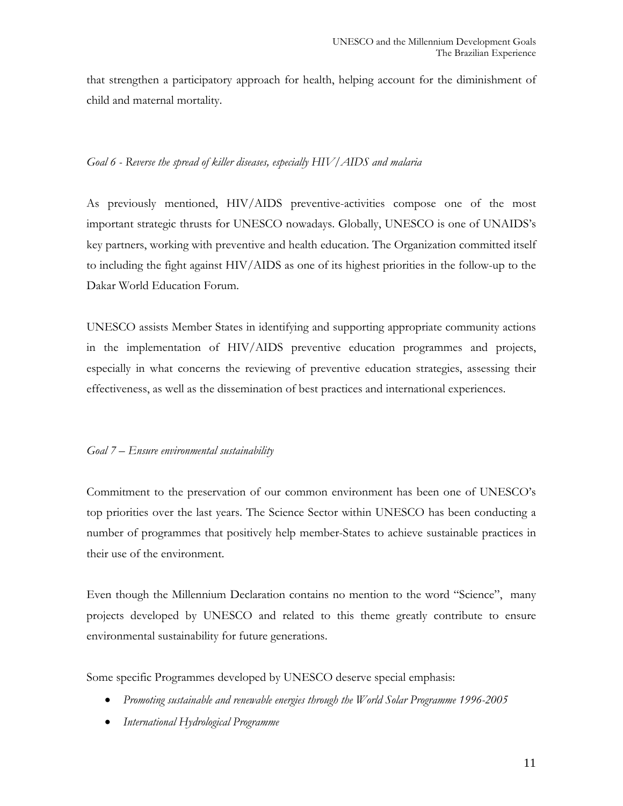that strengthen a participatory approach for health, helping account for the diminishment of child and maternal mortality.

## *Goal 6 - Reverse the spread of killer diseases, especially HIV/AIDS and malaria*

As previously mentioned, HIV/AIDS preventive-activities compose one of the most important strategic thrusts for UNESCO nowadays. Globally, UNESCO is one of UNAIDS's key partners, working with preventive and health education. The Organization committed itself to including the fight against HIV/AIDS as one of its highest priorities in the follow-up to the Dakar World Education Forum.

UNESCO assists Member States in identifying and supporting appropriate community actions in the implementation of HIV/AIDS preventive education programmes and projects, especially in what concerns the reviewing of preventive education strategies, assessing their effectiveness, as well as the dissemination of best practices and international experiences.

## *Goal 7 – Ensure environmental sustainability*

Commitment to the preservation of our common environment has been one of UNESCO's top priorities over the last years. The Science Sector within UNESCO has been conducting a number of programmes that positively help member-States to achieve sustainable practices in their use of the environment.

Even though the Millennium Declaration contains no mention to the word "Science", many projects developed by UNESCO and related to this theme greatly contribute to ensure environmental sustainability for future generations.

Some specific Programmes developed by UNESCO deserve special emphasis:

- *Promoting sustainable and renewable energies through the World Solar Programme 1996-2005*
- *International Hydrological Programme*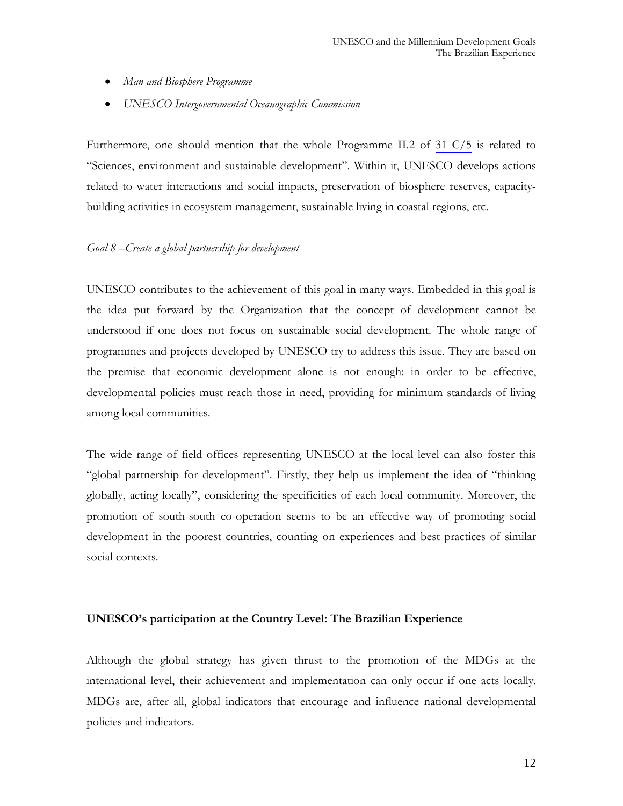- *Man and Biosphere Programme*
- *UNESCO Intergovernmental Oceanographic Commission*

Furthermore, one should mention that the whole Programme II.2 of 31 C/5 is related to "Sciences, environment and sustainable development". Within it, UNESCO develops actions related to water interactions and social impacts, preservation of biosphere reserves, capacitybuilding activities in ecosystem management, sustainable living in coastal regions, etc.

## *Goal 8 –Create a global partnership for development*

UNESCO contributes to the achievement of this goal in many ways. Embedded in this goal is the idea put forward by the Organization that the concept of development cannot be understood if one does not focus on sustainable social development. The whole range of programmes and projects developed by UNESCO try to address this issue. They are based on the premise that economic development alone is not enough: in order to be effective, developmental policies must reach those in need, providing for minimum standards of living among local communities.

The wide range of field offices representing UNESCO at the local level can also foster this "global partnership for development". Firstly, they help us implement the idea of "thinking globally, acting locally", considering the specificities of each local community. Moreover, the promotion of south-south co-operation seems to be an effective way of promoting social development in the poorest countries, counting on experiences and best practices of similar social contexts.

#### **UNESCO's participation at the Country Level: The Brazilian Experience**

Although the global strategy has given thrust to the promotion of the MDGs at the international level, their achievement and implementation can only occur if one acts locally. MDGs are, after all, global indicators that encourage and influence national developmental policies and indicators.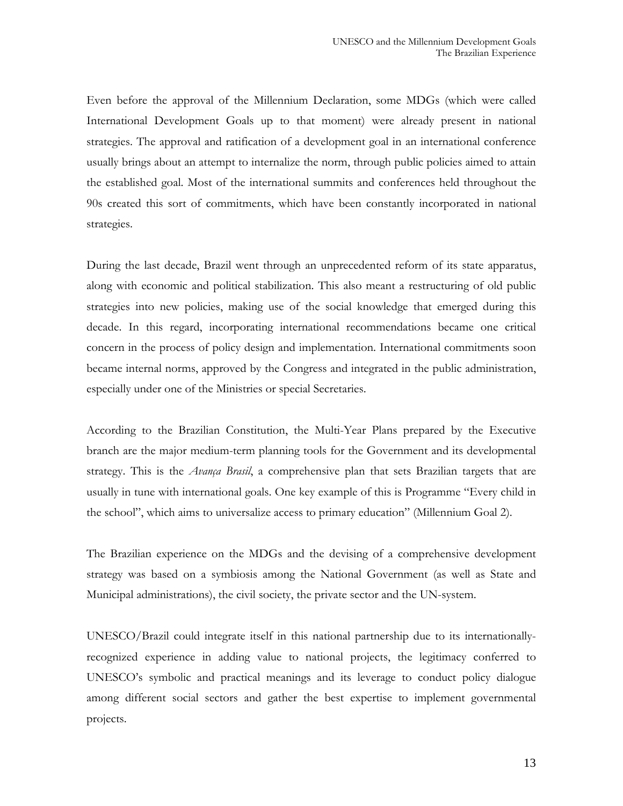Even before the approval of the Millennium Declaration, some MDGs (which were called International Development Goals up to that moment) were already present in national strategies. The approval and ratification of a development goal in an international conference usually brings about an attempt to internalize the norm, through public policies aimed to attain the established goal. Most of the international summits and conferences held throughout the 90s created this sort of commitments, which have been constantly incorporated in national strategies.

During the last decade, Brazil went through an unprecedented reform of its state apparatus, along with economic and political stabilization. This also meant a restructuring of old public strategies into new policies, making use of the social knowledge that emerged during this decade. In this regard, incorporating international recommendations became one critical concern in the process of policy design and implementation. International commitments soon became internal norms, approved by the Congress and integrated in the public administration, especially under one of the Ministries or special Secretaries.

According to the Brazilian Constitution, the Multi-Year Plans prepared by the Executive branch are the major medium-term planning tools for the Government and its developmental strategy. This is the *Avança Brasil*, a comprehensive plan that sets Brazilian targets that are usually in tune with international goals. One key example of this is Programme "Every child in the school", which aims to universalize access to primary education" (Millennium Goal 2).

The Brazilian experience on the MDGs and the devising of a comprehensive development strategy was based on a symbiosis among the National Government (as well as State and Municipal administrations), the civil society, the private sector and the UN-system.

UNESCO/Brazil could integrate itself in this national partnership due to its internationallyrecognized experience in adding value to national projects, the legitimacy conferred to UNESCO's symbolic and practical meanings and its leverage to conduct policy dialogue among different social sectors and gather the best expertise to implement governmental projects.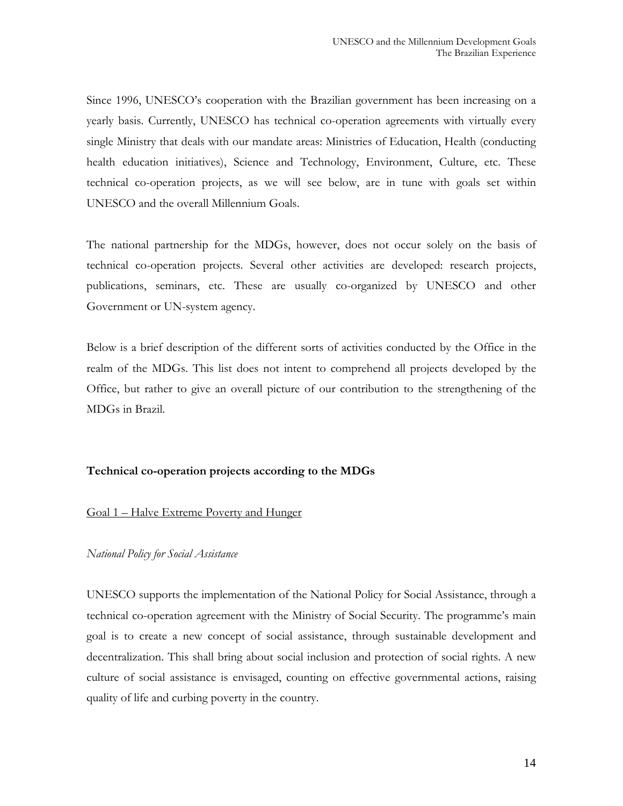Since 1996, UNESCO's cooperation with the Brazilian government has been increasing on a yearly basis. Currently, UNESCO has technical co-operation agreements with virtually every single Ministry that deals with our mandate areas: Ministries of Education, Health (conducting health education initiatives), Science and Technology, Environment, Culture, etc. These technical co-operation projects, as we will see below, are in tune with goals set within UNESCO and the overall Millennium Goals.

The national partnership for the MDGs, however, does not occur solely on the basis of technical co-operation projects. Several other activities are developed: research projects, publications, seminars, etc. These are usually co-organized by UNESCO and other Government or UN-system agency.

Below is a brief description of the different sorts of activities conducted by the Office in the realm of the MDGs. This list does not intent to comprehend all projects developed by the Office, but rather to give an overall picture of our contribution to the strengthening of the MDGs in Brazil.

## **Technical co-operation projects according to the MDGs**

## Goal 1 – Halve Extreme Poverty and Hunger

## *National Policy for Social Assistance*

UNESCO supports the implementation of the National Policy for Social Assistance, through a technical co-operation agreement with the Ministry of Social Security. The programme's main goal is to create a new concept of social assistance, through sustainable development and decentralization. This shall bring about social inclusion and protection of social rights. A new culture of social assistance is envisaged, counting on effective governmental actions, raising quality of life and curbing poverty in the country.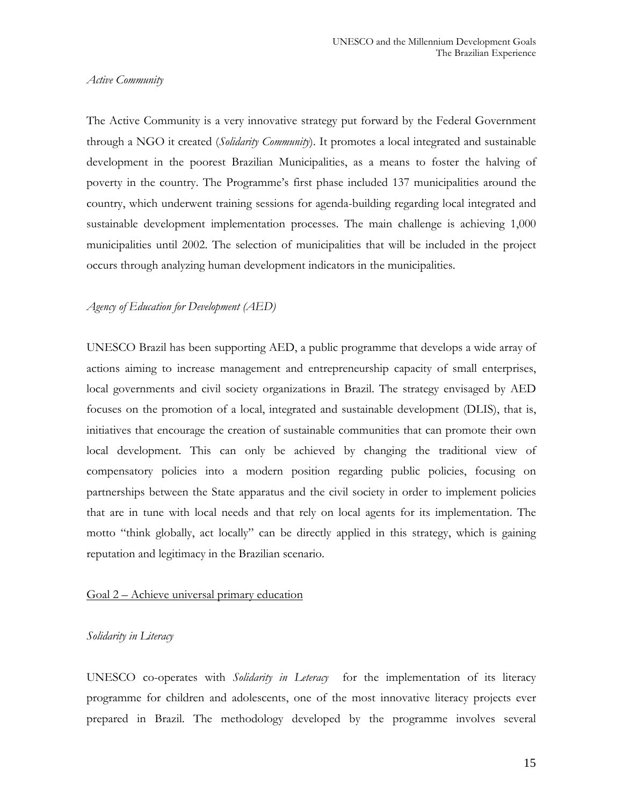#### *Active Community*

The Active Community is a very innovative strategy put forward by the Federal Government through a NGO it created (*Solidarity Community*). It promotes a local integrated and sustainable development in the poorest Brazilian Municipalities, as a means to foster the halving of poverty in the country. The Programme's first phase included 137 municipalities around the country, which underwent training sessions for agenda-building regarding local integrated and sustainable development implementation processes. The main challenge is achieving 1,000 municipalities until 2002. The selection of municipalities that will be included in the project occurs through analyzing human development indicators in the municipalities.

#### *Agency of Education for Development (AED)*

UNESCO Brazil has been supporting AED, a public programme that develops a wide array of actions aiming to increase management and entrepreneurship capacity of small enterprises, local governments and civil society organizations in Brazil. The strategy envisaged by AED focuses on the promotion of a local, integrated and sustainable development (DLIS), that is, initiatives that encourage the creation of sustainable communities that can promote their own local development. This can only be achieved by changing the traditional view of compensatory policies into a modern position regarding public policies, focusing on partnerships between the State apparatus and the civil society in order to implement policies that are in tune with local needs and that rely on local agents for its implementation. The motto "think globally, act locally" can be directly applied in this strategy, which is gaining reputation and legitimacy in the Brazilian scenario.

## Goal 2 – Achieve universal primary education

#### *Solidarity in Literacy*

UNESCO co-operates with *Solidarity in Leteracy* for the implementation of its literacy programme for children and adolescents, one of the most innovative literacy projects ever prepared in Brazil. The methodology developed by the programme involves several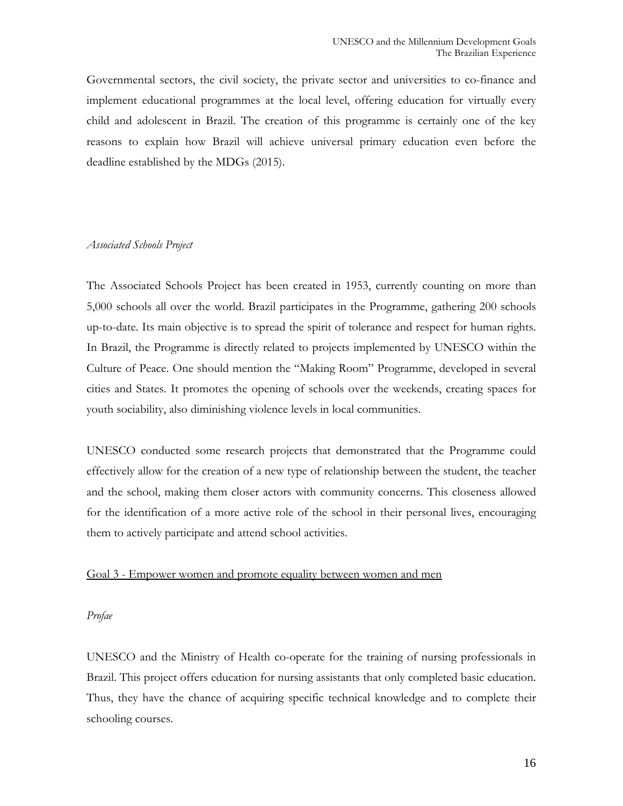Governmental sectors, the civil society, the private sector and universities to co-finance and implement educational programmes at the local level, offering education for virtually every child and adolescent in Brazil. The creation of this programme is certainly one of the key reasons to explain how Brazil will achieve universal primary education even before the deadline established by the MDGs (2015).

## *Associated Schools Project*

The Associated Schools Project has been created in 1953, currently counting on more than 5,000 schools all over the world. Brazil participates in the Programme, gathering 200 schools up-to-date. Its main objective is to spread the spirit of tolerance and respect for human rights. In Brazil, the Programme is directly related to projects implemented by UNESCO within the Culture of Peace. One should mention the "Making Room" Programme, developed in several cities and States. It promotes the opening of schools over the weekends, creating spaces for youth sociability, also diminishing violence levels in local communities.

UNESCO conducted some research projects that demonstrated that the Programme could effectively allow for the creation of a new type of relationship between the student, the teacher and the school, making them closer actors with community concerns. This closeness allowed for the identification of a more active role of the school in their personal lives, encouraging them to actively participate and attend school activities.

#### Goal 3 - Empower women and promote equality between women and men

### *Profae*

UNESCO and the Ministry of Health co-operate for the training of nursing professionals in Brazil. This project offers education for nursing assistants that only completed basic education. Thus, they have the chance of acquiring specific technical knowledge and to complete their schooling courses.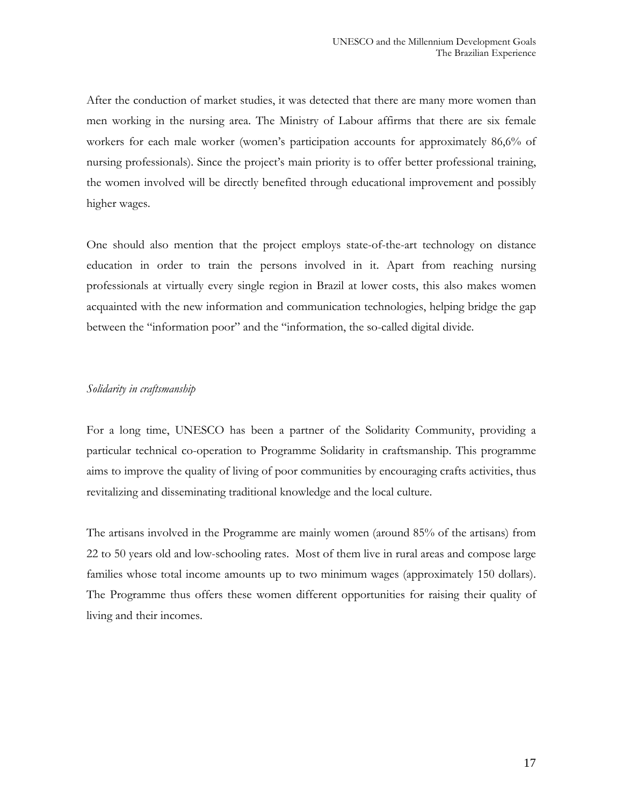After the conduction of market studies, it was detected that there are many more women than men working in the nursing area. The Ministry of Labour affirms that there are six female workers for each male worker (women's participation accounts for approximately 86,6% of nursing professionals). Since the project's main priority is to offer better professional training, the women involved will be directly benefited through educational improvement and possibly higher wages.

One should also mention that the project employs state-of-the-art technology on distance education in order to train the persons involved in it. Apart from reaching nursing professionals at virtually every single region in Brazil at lower costs, this also makes women acquainted with the new information and communication technologies, helping bridge the gap between the "information poor" and the "information, the so-called digital divide.

#### *Solidarity in craftsmanship*

For a long time, UNESCO has been a partner of the Solidarity Community, providing a particular technical co-operation to Programme Solidarity in craftsmanship. This programme aims to improve the quality of living of poor communities by encouraging crafts activities, thus revitalizing and disseminating traditional knowledge and the local culture.

The artisans involved in the Programme are mainly women (around 85% of the artisans) from 22 to 50 years old and low-schooling rates. Most of them live in rural areas and compose large families whose total income amounts up to two minimum wages (approximately 150 dollars). The Programme thus offers these women different opportunities for raising their quality of living and their incomes.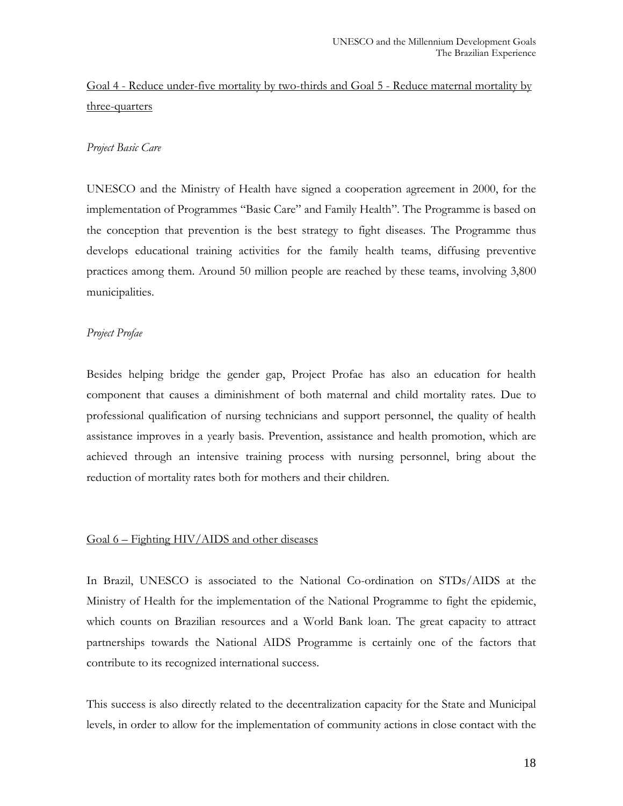# Goal 4 - Reduce under-five mortality by two-thirds and Goal 5 - Reduce maternal mortality by three-quarters

## *Project Basic Care*

UNESCO and the Ministry of Health have signed a cooperation agreement in 2000, for the implementation of Programmes "Basic Care" and Family Health". The Programme is based on the conception that prevention is the best strategy to fight diseases. The Programme thus develops educational training activities for the family health teams, diffusing preventive practices among them. Around 50 million people are reached by these teams, involving 3,800 municipalities.

## *Project Profae*

Besides helping bridge the gender gap, Project Profae has also an education for health component that causes a diminishment of both maternal and child mortality rates. Due to professional qualification of nursing technicians and support personnel, the quality of health assistance improves in a yearly basis. Prevention, assistance and health promotion, which are achieved through an intensive training process with nursing personnel, bring about the reduction of mortality rates both for mothers and their children.

## Goal 6 – Fighting HIV/AIDS and other diseases

In Brazil, UNESCO is associated to the National Co-ordination on STDs/AIDS at the Ministry of Health for the implementation of the National Programme to fight the epidemic, which counts on Brazilian resources and a World Bank loan. The great capacity to attract partnerships towards the National AIDS Programme is certainly one of the factors that contribute to its recognized international success.

This success is also directly related to the decentralization capacity for the State and Municipal levels, in order to allow for the implementation of community actions in close contact with the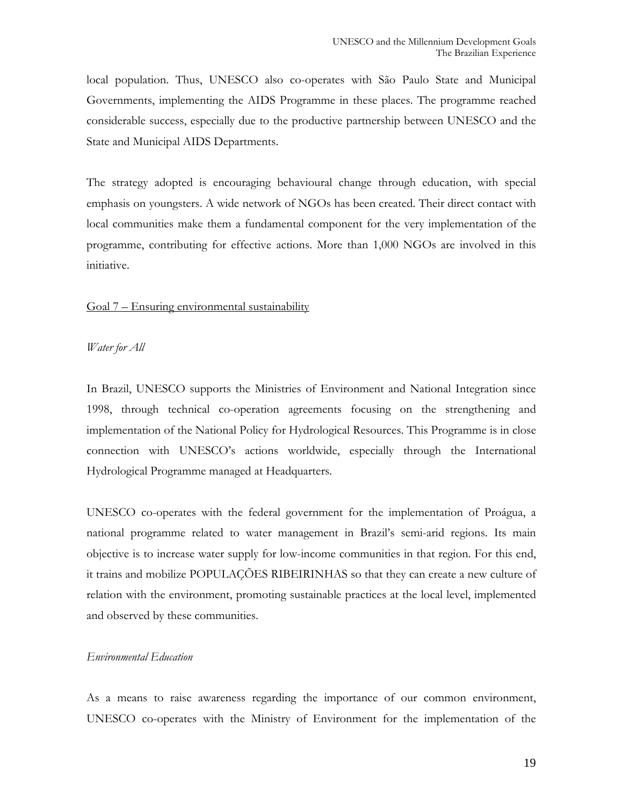local population. Thus, UNESCO also co-operates with São Paulo State and Municipal Governments, implementing the AIDS Programme in these places. The programme reached considerable success, especially due to the productive partnership between UNESCO and the State and Municipal AIDS Departments.

The strategy adopted is encouraging behavioural change through education, with special emphasis on youngsters. A wide network of NGOs has been created. Their direct contact with local communities make them a fundamental component for the very implementation of the programme, contributing for effective actions. More than 1,000 NGOs are involved in this initiative.

## Goal 7 – Ensuring environmental sustainability

#### *Water for All*

In Brazil, UNESCO supports the Ministries of Environment and National Integration since 1998, through technical co-operation agreements focusing on the strengthening and implementation of the National Policy for Hydrological Resources. This Programme is in close connection with UNESCO's actions worldwide, especially through the International Hydrological Programme managed at Headquarters.

UNESCO co-operates with the federal government for the implementation of Proágua, a national programme related to water management in Brazil's semi-arid regions. Its main objective is to increase water supply for low-income communities in that region. For this end, it trains and mobilize POPULAÇÕES RIBEIRINHAS so that they can create a new culture of relation with the environment, promoting sustainable practices at the local level, implemented and observed by these communities.

### *Environmental Education*

As a means to raise awareness regarding the importance of our common environment, UNESCO co-operates with the Ministry of Environment for the implementation of the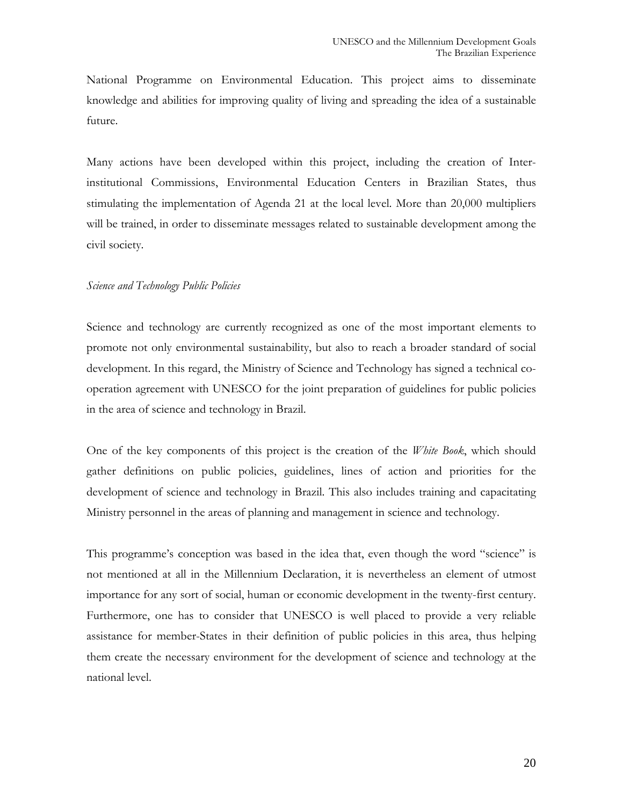National Programme on Environmental Education. This project aims to disseminate knowledge and abilities for improving quality of living and spreading the idea of a sustainable future.

Many actions have been developed within this project, including the creation of Interinstitutional Commissions, Environmental Education Centers in Brazilian States, thus stimulating the implementation of Agenda 21 at the local level. More than 20,000 multipliers will be trained, in order to disseminate messages related to sustainable development among the civil society.

## *Science and Technology Public Policies*

Science and technology are currently recognized as one of the most important elements to promote not only environmental sustainability, but also to reach a broader standard of social development. In this regard, the Ministry of Science and Technology has signed a technical cooperation agreement with UNESCO for the joint preparation of guidelines for public policies in the area of science and technology in Brazil.

One of the key components of this project is the creation of the *White Book*, which should gather definitions on public policies, guidelines, lines of action and priorities for the development of science and technology in Brazil. This also includes training and capacitating Ministry personnel in the areas of planning and management in science and technology.

This programme's conception was based in the idea that, even though the word "science" is not mentioned at all in the Millennium Declaration, it is nevertheless an element of utmost importance for any sort of social, human or economic development in the twenty-first century. Furthermore, one has to consider that UNESCO is well placed to provide a very reliable assistance for member-States in their definition of public policies in this area, thus helping them create the necessary environment for the development of science and technology at the national level.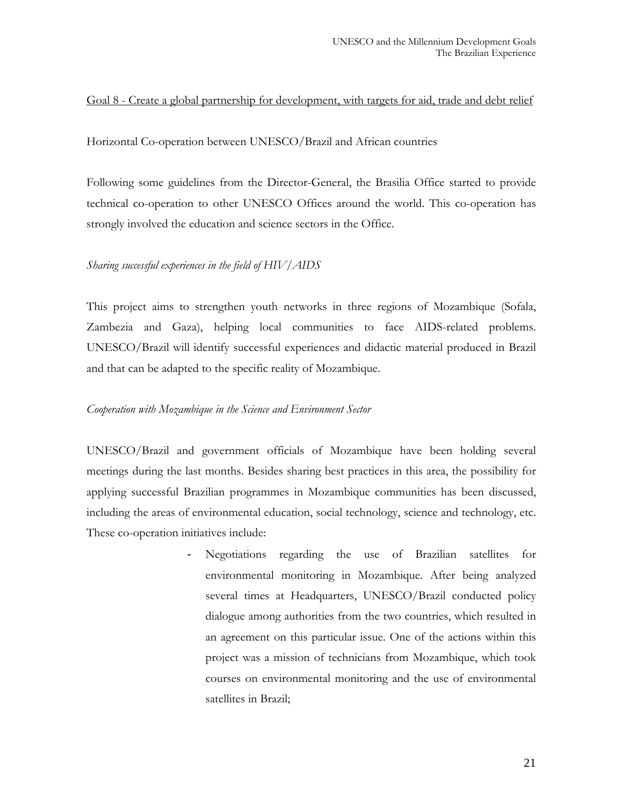## Goal 8 - Create a global partnership for development, with targets for aid, trade and debt relief

Horizontal Co-operation between UNESCO/Brazil and African countries

Following some guidelines from the Director-General, the Brasilia Office started to provide technical co-operation to other UNESCO Offices around the world. This co-operation has strongly involved the education and science sectors in the Office.

## *Sharing successful experiences in the field of HIV/AIDS*

This project aims to strengthen youth networks in three regions of Mozambique (Sofala, Zambezia and Gaza), helping local communities to face AIDS-related problems. UNESCO/Brazil will identify successful experiences and didactic material produced in Brazil and that can be adapted to the specific reality of Mozambique.

## *Cooperation with Mozambique in the Science and Environment Sector*

UNESCO/Brazil and government officials of Mozambique have been holding several meetings during the last months. Besides sharing best practices in this area, the possibility for applying successful Brazilian programmes in Mozambique communities has been discussed, including the areas of environmental education, social technology, science and technology, etc. These co-operation initiatives include:

> - Negotiations regarding the use of Brazilian satellites for environmental monitoring in Mozambique. After being analyzed several times at Headquarters, UNESCO/Brazil conducted policy dialogue among authorities from the two countries, which resulted in an agreement on this particular issue. One of the actions within this project was a mission of technicians from Mozambique, which took courses on environmental monitoring and the use of environmental satellites in Brazil;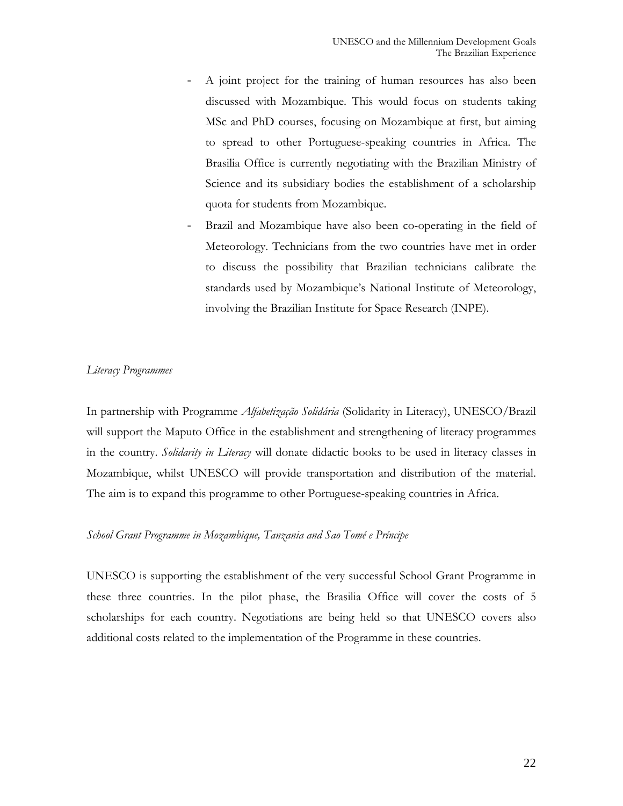- A joint project for the training of human resources has also been discussed with Mozambique. This would focus on students taking MSc and PhD courses, focusing on Mozambique at first, but aiming to spread to other Portuguese-speaking countries in Africa. The Brasilia Office is currently negotiating with the Brazilian Ministry of Science and its subsidiary bodies the establishment of a scholarship quota for students from Mozambique.
- Brazil and Mozambique have also been co-operating in the field of Meteorology. Technicians from the two countries have met in order to discuss the possibility that Brazilian technicians calibrate the standards used by Mozambique's National Institute of Meteorology, involving the Brazilian Institute for Space Research (INPE).

## *Literacy Programmes*

In partnership with Programme *Alfabetização Solidária* (Solidarity in Literacy), UNESCO/Brazil will support the Maputo Office in the establishment and strengthening of literacy programmes in the country. *Solidarity in Literacy* will donate didactic books to be used in literacy classes in Mozambique, whilst UNESCO will provide transportation and distribution of the material. The aim is to expand this programme to other Portuguese-speaking countries in Africa.

#### *School Grant Programme in Mozambique, Tanzania and Sao Tomé e Príncipe*

UNESCO is supporting the establishment of the very successful School Grant Programme in these three countries. In the pilot phase, the Brasilia Office will cover the costs of 5 scholarships for each country. Negotiations are being held so that UNESCO covers also additional costs related to the implementation of the Programme in these countries.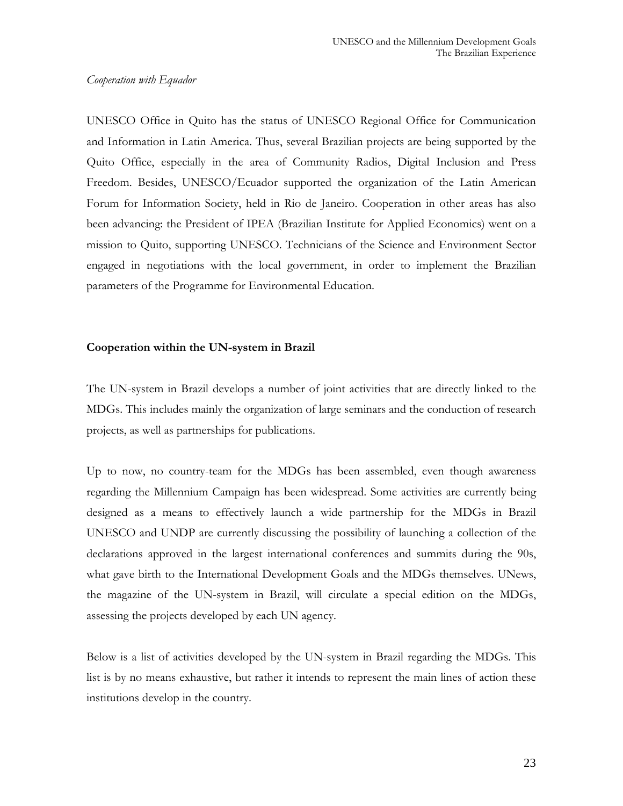#### *Cooperation with Equador*

UNESCO Office in Quito has the status of UNESCO Regional Office for Communication and Information in Latin America. Thus, several Brazilian projects are being supported by the Quito Office, especially in the area of Community Radios, Digital Inclusion and Press Freedom. Besides, UNESCO/Ecuador supported the organization of the Latin American Forum for Information Society, held in Rio de Janeiro. Cooperation in other areas has also been advancing: the President of IPEA (Brazilian Institute for Applied Economics) went on a mission to Quito, supporting UNESCO. Technicians of the Science and Environment Sector engaged in negotiations with the local government, in order to implement the Brazilian parameters of the Programme for Environmental Education.

## **Cooperation within the UN-system in Brazil**

The UN-system in Brazil develops a number of joint activities that are directly linked to the MDGs. This includes mainly the organization of large seminars and the conduction of research projects, as well as partnerships for publications.

Up to now, no country-team for the MDGs has been assembled, even though awareness regarding the Millennium Campaign has been widespread. Some activities are currently being designed as a means to effectively launch a wide partnership for the MDGs in Brazil UNESCO and UNDP are currently discussing the possibility of launching a collection of the declarations approved in the largest international conferences and summits during the 90s, what gave birth to the International Development Goals and the MDGs themselves. UNews, the magazine of the UN-system in Brazil, will circulate a special edition on the MDGs, assessing the projects developed by each UN agency.

Below is a list of activities developed by the UN-system in Brazil regarding the MDGs. This list is by no means exhaustive, but rather it intends to represent the main lines of action these institutions develop in the country.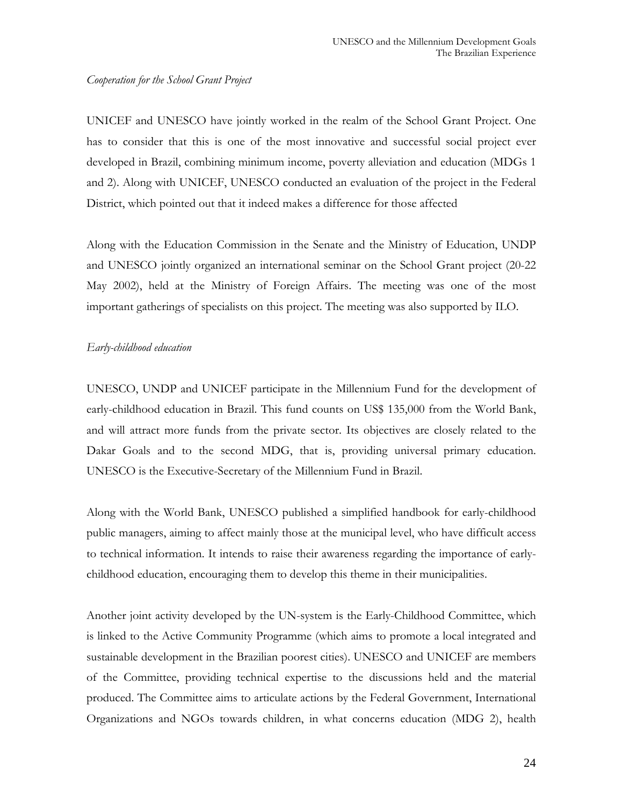#### *Cooperation for the School Grant Project*

UNICEF and UNESCO have jointly worked in the realm of the School Grant Project. One has to consider that this is one of the most innovative and successful social project ever developed in Brazil, combining minimum income, poverty alleviation and education (MDGs 1 and 2). Along with UNICEF, UNESCO conducted an evaluation of the project in the Federal District, which pointed out that it indeed makes a difference for those affected

Along with the Education Commission in the Senate and the Ministry of Education, UNDP and UNESCO jointly organized an international seminar on the School Grant project (20-22 May 2002), held at the Ministry of Foreign Affairs. The meeting was one of the most important gatherings of specialists on this project. The meeting was also supported by ILO.

## *Early-childhood education*

UNESCO, UNDP and UNICEF participate in the Millennium Fund for the development of early-childhood education in Brazil. This fund counts on US\$ 135,000 from the World Bank, and will attract more funds from the private sector. Its objectives are closely related to the Dakar Goals and to the second MDG, that is, providing universal primary education. UNESCO is the Executive-Secretary of the Millennium Fund in Brazil.

Along with the World Bank, UNESCO published a simplified handbook for early-childhood public managers, aiming to affect mainly those at the municipal level, who have difficult access to technical information. It intends to raise their awareness regarding the importance of earlychildhood education, encouraging them to develop this theme in their municipalities.

Another joint activity developed by the UN-system is the Early-Childhood Committee, which is linked to the Active Community Programme (which aims to promote a local integrated and sustainable development in the Brazilian poorest cities). UNESCO and UNICEF are members of the Committee, providing technical expertise to the discussions held and the material produced. The Committee aims to articulate actions by the Federal Government, International Organizations and NGOs towards children, in what concerns education (MDG 2), health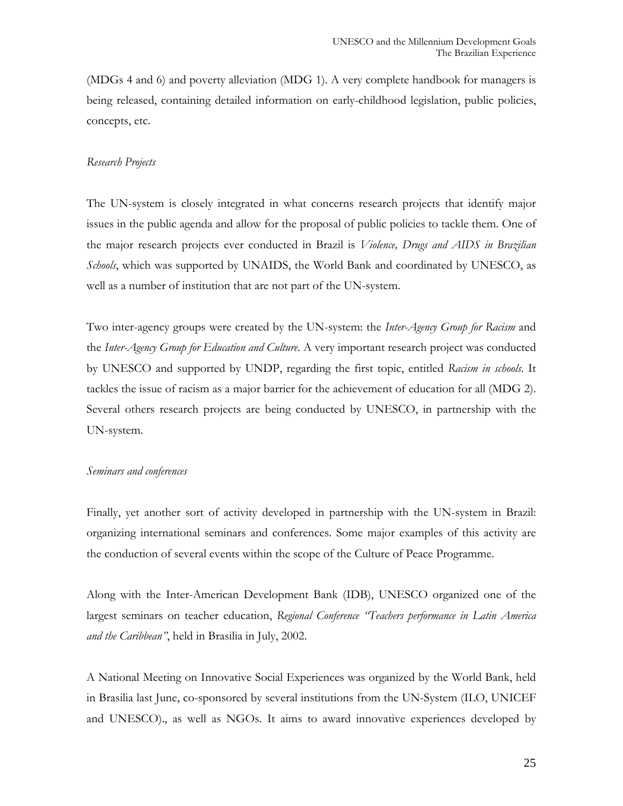(MDGs 4 and 6) and poverty alleviation (MDG 1). A very complete handbook for managers is being released, containing detailed information on early-childhood legislation, public policies, concepts, etc.

#### *Research Projects*

The UN-system is closely integrated in what concerns research projects that identify major issues in the public agenda and allow for the proposal of public policies to tackle them. One of the major research projects ever conducted in Brazil is *Violence, Drugs and AIDS in Brazilian Schools*, which was supported by UNAIDS, the World Bank and coordinated by UNESCO, as well as a number of institution that are not part of the UN-system.

Two inter-agency groups were created by the UN-system: the *Inter-Agency Group for Racism* and the *Inter-Agency Group for Education and Culture*. A very important research project was conducted by UNESCO and supported by UNDP, regarding the first topic, entitled *Racism in schools*. It tackles the issue of racism as a major barrier for the achievement of education for all (MDG 2). Several others research projects are being conducted by UNESCO, in partnership with the UN-system.

#### *Seminars and conferences*

Finally, yet another sort of activity developed in partnership with the UN-system in Brazil: organizing international seminars and conferences. Some major examples of this activity are the conduction of several events within the scope of the Culture of Peace Programme.

Along with the Inter-American Development Bank (IDB), UNESCO organized one of the largest seminars on teacher education, *Regional Conference "Teachers performance in Latin America and the Caribbean"*, held in Brasilia in July, 2002.

A National Meeting on Innovative Social Experiences was organized by the World Bank, held in Brasilia last June, co-sponsored by several institutions from the UN-System (ILO, UNICEF and UNESCO)., as well as NGOs. It aims to award innovative experiences developed by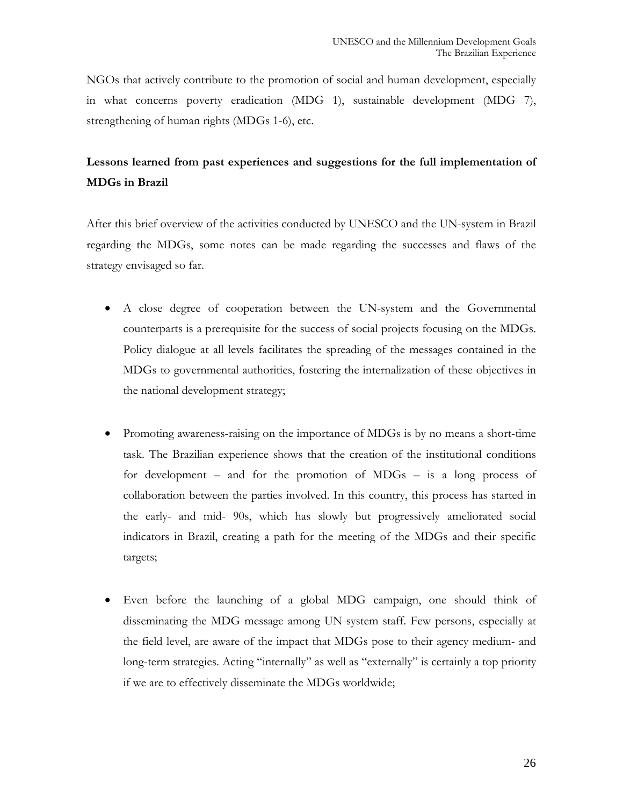NGOs that actively contribute to the promotion of social and human development, especially in what concerns poverty eradication (MDG 1), sustainable development (MDG 7), strengthening of human rights (MDGs 1-6), etc.

## **Lessons learned from past experiences and suggestions for the full implementation of MDGs in Brazil**

After this brief overview of the activities conducted by UNESCO and the UN-system in Brazil regarding the MDGs, some notes can be made regarding the successes and flaws of the strategy envisaged so far.

- A close degree of cooperation between the UN-system and the Governmental counterparts is a prerequisite for the success of social projects focusing on the MDGs. Policy dialogue at all levels facilitates the spreading of the messages contained in the MDGs to governmental authorities, fostering the internalization of these objectives in the national development strategy;
- Promoting awareness-raising on the importance of MDGs is by no means a short-time task. The Brazilian experience shows that the creation of the institutional conditions for development – and for the promotion of MDGs – is a long process of collaboration between the parties involved. In this country, this process has started in the early- and mid- 90s, which has slowly but progressively ameliorated social indicators in Brazil, creating a path for the meeting of the MDGs and their specific targets;
- Even before the launching of a global MDG campaign, one should think of disseminating the MDG message among UN-system staff. Few persons, especially at the field level, are aware of the impact that MDGs pose to their agency medium- and long-term strategies. Acting "internally" as well as "externally" is certainly a top priority if we are to effectively disseminate the MDGs worldwide;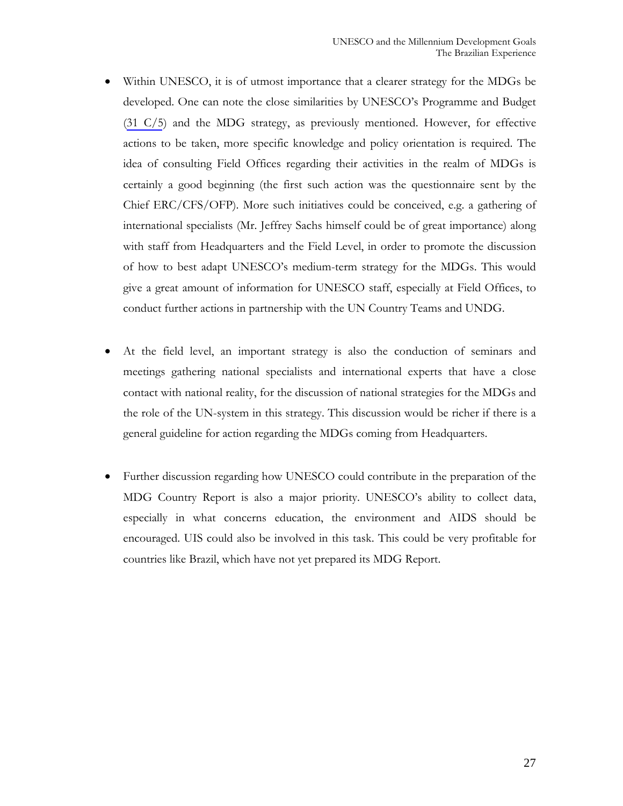- Within UNESCO, it is of utmost importance that a clearer strategy for the MDGs be developed. One can note the close similarities by UNESCO's Programme and Budget (31 C/5) and the MDG strategy, as previously mentioned. However, for effective actions to be taken, more specific knowledge and policy orientation is required. The idea of consulting Field Offices regarding their activities in the realm of MDGs is certainly a good beginning (the first such action was the questionnaire sent by the Chief ERC/CFS/OFP). More such initiatives could be conceived, e.g. a gathering of international specialists (Mr. Jeffrey Sachs himself could be of great importance) along with staff from Headquarters and the Field Level, in order to promote the discussion of how to best adapt UNESCO's medium-term strategy for the MDGs. This would give a great amount of information for UNESCO staff, especially at Field Offices, to conduct further actions in partnership with the UN Country Teams and UNDG.
- At the field level, an important strategy is also the conduction of seminars and meetings gathering national specialists and international experts that have a close contact with national reality, for the discussion of national strategies for the MDGs and the role of the UN-system in this strategy. This discussion would be richer if there is a general guideline for action regarding the MDGs coming from Headquarters.
- Further discussion regarding how UNESCO could contribute in the preparation of the MDG Country Report is also a major priority. UNESCO's ability to collect data, especially in what concerns education, the environment and AIDS should be encouraged. UIS could also be involved in this task. This could be very profitable for countries like Brazil, which have not yet prepared its MDG Report.